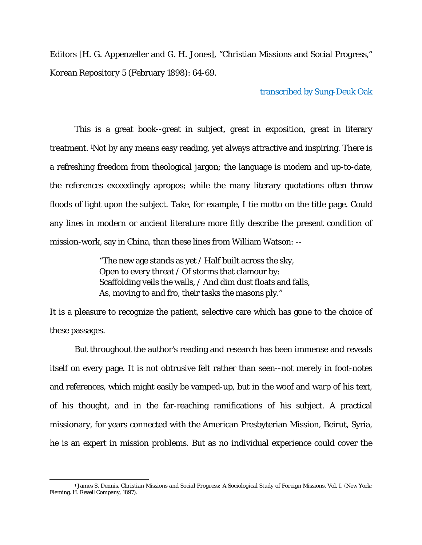Editors [H. G. Appenzeller and G. H. Jones], "Christian Missions and Social Progress," *Korean Repository* 5 (February 1898): 64-69.

transcribed by Sung-Deuk Oak

This is a great book--great in subject, great in exposition, great in literary treatment. 1Not by any means easy reading, yet always attractive and inspiring. There is a refreshing freedom from theological jargon; the language is modem and up-to-date, the references exceedingly apropos; while the many literary quotations often throw floods of light upon the subject. Take, for example, I tie motto on the title page. Could any lines in modern or ancient literature more fitly describe the present condition of mission-work, say in China, than these lines from William Watson: --

> "The new age stands as yet / Half built across the sky, Open to every threat / Of storms that clamour by: Scaffolding veils the walls, / And dim dust floats and falls, As, moving to and fro, their tasks the masons ply."

It is a pleasure to recognize the patient, selective care which has gone to the choice of these passages.

But throughout the author's reading and research has been immense and reveals itself on every page. It is not obtrusive felt rather than seen--not merely in foot-notes and references, which might easily be vamped-up, but in the woof and warp of his text, of his thought, and in the far-reaching ramifications of his subject. A practical missionary, for years connected with the American Presbyterian Mission, Beirut, Syria, he is an expert in mission problems. But as no individual experience could cover the

 1 James S. Dennis, *Christian Missions and Social Progress: A Sociological Study of Foreign Missions*. Vol. I. (New York: Fleming. H. Revell Company, 1897).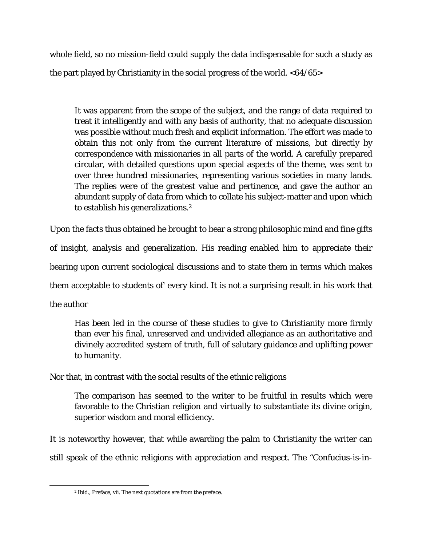whole field, so no mission-field could supply the data indispensable for such a study as the part played by Christianity in the social progress of the world. <64/65>

It was apparent from the scope of the subject, and the range of data required to treat it intelligently and with any basis of authority, that no adequate discussion was possible without much fresh and explicit information. The effort was made to obtain this not only from the current literature of missions, but directly by correspondence with missionaries in all parts of the world. A carefully prepared circular, with detailed questions upon special aspects of the theme, was sent to over three hundred missionaries, representing various societies in many lands. The replies were of the greatest value and pertinence, and gave the author an abundant supply of data from which to collate his subject-matter and upon which to establish his generalizations.<sup>2</sup>

Upon the facts thus obtained he brought to bear a strong philosophic mind and fine gifts of insight, analysis and generalization. His reading enabled him to appreciate their bearing upon current sociological discussions and to state them in terms which makes them acceptable to students of' every kind. It is not a surprising result in his work that the author

Has been led in the course of these studies to give to Christianity more firmly than ever his final, unreserved and undivided allegiance as an authoritative and divinely accredited system of truth, full of salutary guidance and uplifting power to humanity.

Nor that, in contrast with the social results of the ethnic religions

The comparison has seemed to the writer to be fruitful in results which were favorable to the Christian religion and virtually to substantiate its divine origin, superior wisdom and moral efficiency.

It is noteworthy however, that while awarding the palm to Christianity the writer can still speak of the ethnic religions with appreciation and respect. The "Confucius-is-in-

 2 Ibid., Preface, vii. The next quotations are from the preface.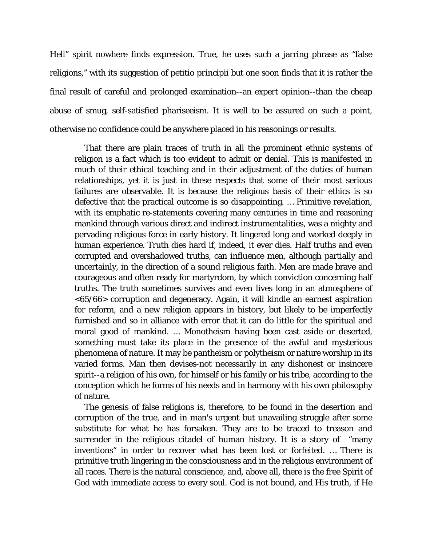Hell" spirit nowhere finds expression. True, he uses such a jarring phrase as "false religions," with its suggestion of *petitio principii* but one soon finds that it is rather the final result of careful and prolonged examination--an expert opinion--than the cheap abuse of smug, self-satisfied phariseeism. It is well to be assured on such a point, otherwise no confidence could be anywhere placed in his reasonings or results.

That there are plain traces of truth in all the prominent ethnic systems of religion is a fact which is too evident to admit or denial. This is manifested in much of their ethical teaching and in their adjustment of the duties of human relationships, yet it is just in these respects that some of their most serious failures are observable. It is because the religious basis of their ethics is so defective that the practical outcome is so disappointing. … Primitive revelation, with its emphatic re-statements covering many centuries in time and reasoning mankind through various direct and indirect instrumentalities, was a mighty and pervading religious force in early history. It lingered long and worked deeply in human experience. Truth dies hard if, indeed, it ever dies. Half truths and even corrupted and overshadowed truths, can influence men, although partially and uncertainly, in the direction of a sound religious faith. Men are made brave and courageous and often ready for martyrdom, by which conviction concerning half truths. The truth sometimes survives and even lives long in an atmosphere of <65/66> corruption and degeneracy. Again, it will kindle an earnest aspiration for reform, and a new religion appears in history, but likely to be imperfectly furnished and so in alliance with error that it can do little for the spiritual and moral good of mankind. … Monotheism having been cast aside or deserted, something must take its place in the presence of the awful and mysterious phenomena of nature. It may be pantheism or polytheism or nature worship in its varied forms. Man then devises-not necessarily in any dishonest or insincere spirit--a religion of his own, for himself or his family or his tribe, according to the conception which he forms of his needs and in harmony with his own philosophy of nature.

The genesis of false religions is, therefore, to be found in the desertion and corruption of the true, and in man's urgent but unavailing struggle after some substitute for what he has forsaken. They are to be traced to treason and surrender in the religious citadel of human history. It is a story of "many inventions" in order to recover what has been lost or forfeited. … There is primitive truth lingering in the consciousness and in the religious environment of all races. There is the natural conscience, and, above all, there is the free Spirit of God with immediate access to every soul. God is not bound, and His truth, if He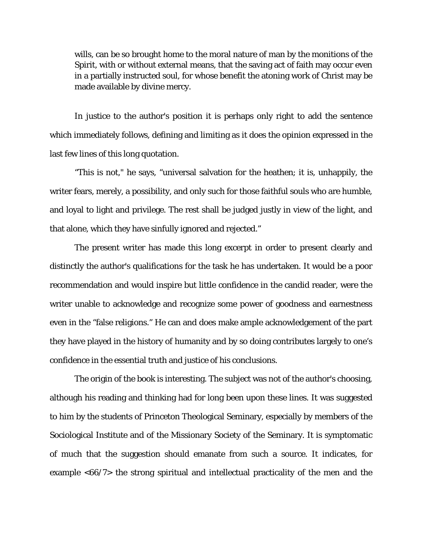wills, can be so brought home to the moral nature of man by the monitions of the Spirit, with or without external means, that the saving act of faith may occur even in a partially instructed soul, for whose benefit the atoning work of Christ may be made available by divine mercy.

In justice to the author's position it is perhaps only right to add the sentence which immediately follows, defining and limiting as it does the opinion expressed in the last few lines of this long quotation.

"This is not," he says, "universal salvation for the heathen; it is, unhappily, the writer fears, merely, a possibility, and only such for those faithful souls who are humble, and loyal to light and privilege. The rest shall be judged justly in view of the light, and that alone, which they have sinfully ignored and rejected."

The present writer has made this long excerpt in order to present clearly and distinctly the author's qualifications for the task he has undertaken. It would be a poor recommendation and would inspire but little confidence in the candid reader, were the writer unable to acknowledge and recognize some power of goodness and earnestness even in the "false religions." He can and does make ample acknowledgement of the part they have played in the history of humanity and by so doing contributes largely to one's confidence in the essential truth and justice of his conclusions.

The origin of the book is interesting. The subject was not of the author's choosing, although his reading and thinking had for long been upon these lines. It was suggested to him by the students of Princeton Theological Seminary, especially by members of the Sociological Institute and of the Missionary Society of the Seminary. It is symptomatic of much that the suggestion should emanate from such a source. It indicates, for example <66/7> the strong spiritual and intellectual practicality of the men and the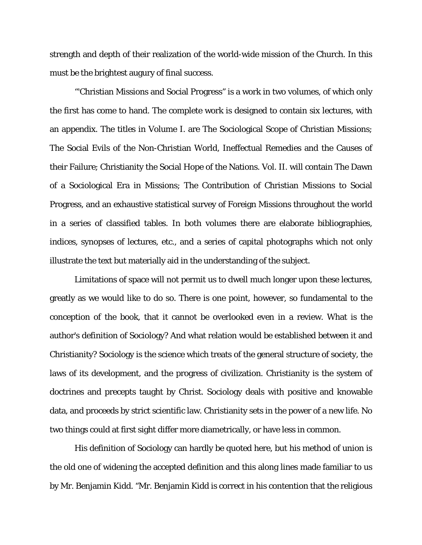strength and depth of their realization of the world-wide mission of the Church. In this must be the brightest augury of final success.

"'Christian Missions and Social Progress" is a work in two volumes, of which only the first has come to hand. The complete work is designed to contain six lectures, with an appendix. The titles in Volume I. are The Sociological Scope of Christian Missions; The Social Evils of the Non-Christian World, Ineffectual Remedies and the Causes of their Failure; Christianity the Social Hope of the Nations. Vol. II. will contain The Dawn of a Sociological Era in Missions; The Contribution of Christian Missions to Social Progress, and an exhaustive statistical survey of Foreign Missions throughout the world in a series of classified tables. In both volumes there are elaborate bibliographies, indices, synopses of lectures, etc., and a series of capital photographs which not only illustrate the text but materially aid in the understanding of the subject.

Limitations of space will not permit us to dwell much longer upon these lectures, greatly as we would like to do so. There is one point, however, so fundamental to the conception of the book, that it cannot be overlooked even in a review. What is the author's definition of Sociology? And what relation would be established between it and Christianity? Sociology is the science which treats of the general structure of society, the laws of its development, and the progress of civilization. Christianity is the system of doctrines and precepts taught by Christ. Sociology deals with positive and knowable data, and proceeds by strict scientific law. Christianity sets in the power of a new life. No two things could at first sight differ more diametrically, or have less in common.

His definition of Sociology can hardly be quoted here, but his method of union is the old one of widening the accepted definition and this along lines made familiar to us by Mr. Benjamin Kidd. "Mr. Benjamin Kidd is correct in his contention that the religious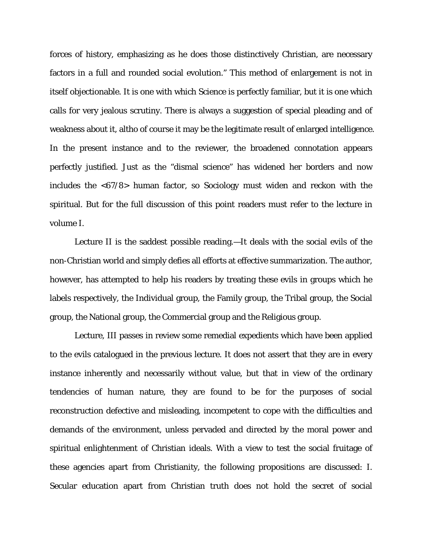forces of history, emphasizing as he does those distinctively Christian, are necessary factors in a full and rounded social evolution." This method of enlargement is not in itself objectionable. It is one with which Science is perfectly familiar, but it is one which calls for very jealous scrutiny. There is always a suggestion of special pleading and of weakness about it, altho of course it may be the legitimate result of enlarged intelligence. In the present instance and to the reviewer, the broadened connotation appears perfectly justified. Just as the "dismal science" has widened her borders and now includes the <67/8> human factor, so Sociology must widen and reckon with the spiritual. But for the full discussion of this point readers must refer to the lecture in volume I.

Lecture II is the saddest possible reading.—It deals with the social evils of the non-Christian world and simply defies all efforts at effective summarization. The author, however, has attempted to help his readers by treating these evils in groups which he labels respectively, the Individual group, the Family group, the Tribal group, the Social group, the National group, the Commercial group and the Religious group.

Lecture, III passes in review some remedial expedients which have been applied to the evils catalogued in the previous lecture. It does not assert that they are in every instance inherently and necessarily without value, but that in view of the ordinary tendencies of human nature, they are found to be for the purposes of social reconstruction defective and misleading, incompetent to cope with the difficulties and demands of the environment, unless pervaded and directed by the moral power and spiritual enlightenment of Christian ideals. With a view to test the social fruitage of these agencies apart from Christianity, the following propositions are discussed: I. Secular education apart from Christian truth does not hold the secret of social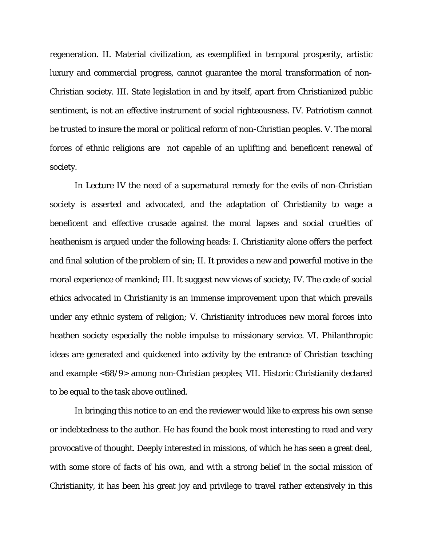regeneration. II. Material civilization, as exemplified in temporal prosperity, artistic luxury and commercial progress, cannot guarantee the moral transformation of non-Christian society. III. State legislation in and by itself, apart from Christianized public sentiment, is not an effective instrument of social righteousness. IV. Patriotism cannot be trusted to insure the moral or political reform of non-Christian peoples. V. The moral forces of ethnic religions are not capable of an uplifting and beneficent renewal of society.

In Lecture IV the need of a supernatural remedy for the evils of non-Christian society is asserted and advocated, and the adaptation of Christianity to wage a beneficent and effective crusade against the moral lapses and social cruelties of heathenism is argued under the following heads: I. Christianity alone offers the perfect and final solution of the problem of sin; II. It provides a new and powerful motive in the moral experience of mankind; III. It suggest new views of society; IV. The code of social ethics advocated in Christianity is an immense improvement upon that which prevails under any ethnic system of religion; V. Christianity introduces new moral forces into heathen society especially the noble impulse to missionary service. VI. Philanthropic ideas are generated and quickened into activity by the entrance of Christian teaching and example <68/9> among non-Christian peoples; VII. Historic Christianity declared to be equal to the task above outlined.

In bringing this notice to an end the reviewer would like to express his own sense or indebtedness to the author. He has found the book most interesting to read and very provocative of thought. Deeply interested in missions, of which he has seen a great deal, with some store of facts of his own, and with a strong belief in the social mission of Christianity, it has been his great joy and privilege to travel rather extensively in this